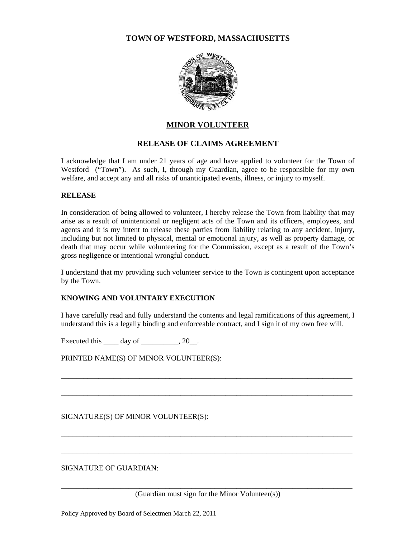### **TOWN OF WESTFORD, MASSACHUSETTS**



# **MINOR VOLUNTEER**

# **RELEASE OF CLAIMS AGREEMENT**

I acknowledge that I am under 21 years of age and have applied to volunteer for the Town of Westford ("Town"). As such, I, through my Guardian, agree to be responsible for my own welfare, and accept any and all risks of unanticipated events, illness, or injury to myself.

#### **RELEASE**

In consideration of being allowed to volunteer, I hereby release the Town from liability that may arise as a result of unintentional or negligent acts of the Town and its officers, employees, and agents and it is my intent to release these parties from liability relating to any accident, injury, including but not limited to physical, mental or emotional injury, as well as property damage, or death that may occur while volunteering for the Commission, except as a result of the Town's gross negligence or intentional wrongful conduct.

I understand that my providing such volunteer service to the Town is contingent upon acceptance by the Town.

### **KNOWING AND VOLUNTARY EXECUTION**

I have carefully read and fully understand the contents and legal ramifications of this agreement, I understand this is a legally binding and enforceable contract, and I sign it of my own free will.

\_\_\_\_\_\_\_\_\_\_\_\_\_\_\_\_\_\_\_\_\_\_\_\_\_\_\_\_\_\_\_\_\_\_\_\_\_\_\_\_\_\_\_\_\_\_\_\_\_\_\_\_\_\_\_\_\_\_\_\_\_\_\_\_\_\_\_\_\_\_\_\_\_\_\_\_\_\_

\_\_\_\_\_\_\_\_\_\_\_\_\_\_\_\_\_\_\_\_\_\_\_\_\_\_\_\_\_\_\_\_\_\_\_\_\_\_\_\_\_\_\_\_\_\_\_\_\_\_\_\_\_\_\_\_\_\_\_\_\_\_\_\_\_\_\_\_\_\_\_\_\_\_\_\_\_\_

\_\_\_\_\_\_\_\_\_\_\_\_\_\_\_\_\_\_\_\_\_\_\_\_\_\_\_\_\_\_\_\_\_\_\_\_\_\_\_\_\_\_\_\_\_\_\_\_\_\_\_\_\_\_\_\_\_\_\_\_\_\_\_\_\_\_\_\_\_\_\_\_\_\_\_\_\_\_

\_\_\_\_\_\_\_\_\_\_\_\_\_\_\_\_\_\_\_\_\_\_\_\_\_\_\_\_\_\_\_\_\_\_\_\_\_\_\_\_\_\_\_\_\_\_\_\_\_\_\_\_\_\_\_\_\_\_\_\_\_\_\_\_\_\_\_\_\_\_\_\_\_\_\_\_\_\_

Executed this  $\_\_\_\_\$  day of  $\_\_\_\_\_\$ 

PRINTED NAME(S) OF MINOR VOLUNTEER(S):

SIGNATURE(S) OF MINOR VOLUNTEER(S):

SIGNATURE OF GUARDIAN:

\_\_\_\_\_\_\_\_\_\_\_\_\_\_\_\_\_\_\_\_\_\_\_\_\_\_\_\_\_\_\_\_\_\_\_\_\_\_\_\_\_\_\_\_\_\_\_\_\_\_\_\_\_\_\_\_\_\_\_\_\_\_\_\_\_\_\_\_\_\_\_\_\_\_\_\_\_\_ (Guardian must sign for the Minor Volunteer(s))